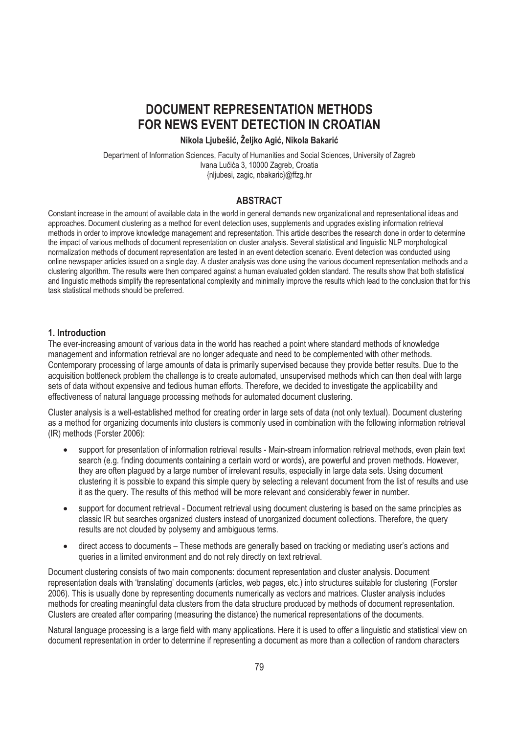# **DOCUMENT REPRESENTATION METHODS FOR NEWS EVENT DETECTION IN CROATIAN**

#### Nikola Ljubešić, Željko Agić, Nikola Bakarić

Department of Information Sciences, Faculty of Humanities and Social Sciences, University of Zagreb Ivana Lučića 3, 10000 Zagreb, Croatia {nljubesi, zagic, nbakaric}@ffzg.hr

## **ABSTRACT**

Constant increase in the amount of available data in the world in general demands new organizational and representational ideas and approaches. Document clustering as a method for event detection uses, supplements and upgrades existing information retrieval methods in order to improve knowledge management and representation. This article describes the research done in order to determine the impact of various methods of document representation on cluster analysis. Several statistical and linguistic NLP morphological normalization methods of document representation are tested in an event detection scenario. Event detection was conducted using online newspaper articles issued on a single day. A cluster analysis was done using the various document representation methods and a clustering algorithm. The results were then compared against a human evaluated golden standard. The results show that both statistical and linguistic methods simplify the representational complexity and minimally improve the results which lead to the conclusion that for this task statistical methods should be preferred.

#### **1. Introduction**

The ever-increasing amount of various data in the world has reached a point where standard methods of knowledge management and information retrieval are no longer adequate and need to be complemented with other methods. Contemporary processing of large amounts of data is primarily supervised because they provide better results. Due to the acquisition bottleneck problem the challenge is to create automated, unsupervised methods which can then deal with large sets of data without expensive and tedious human efforts. Therefore, we decided to investigate the applicability and effectiveness of natural language processing methods for automated document clustering.

Cluster analysis is a well-established method for creating order in large sets of data (not only textual). Document clustering as a method for organizing documents into clusters is commonly used in combination with the following information retrieval (IR) methods (Forster 2006):

- support for presentation of information retrieval results - Main-stream information retrieval methods, even plain text search (e.g. finding documents containing a certain word or words), are powerful and proven methods. However, they are often plagued by a large number of irrelevant results, especially in large data sets. Using document clustering it is possible to expand this simple query by selecting a relevant document from the list of results and use it as the query. The results of this method will be more relevant and considerably fewer in number.
- support for document retrieval - Document retrieval using document clustering is based on the same principles as classic IR but searches organized clusters instead of unorganized document collections. Therefore, the query results are not clouded by polysemy and ambiguous terms.
- direct access to documents – These methods are generally based on tracking or mediating user's actions and queries in a limited environment and do not rely directly on text retrieval.

Document clustering consists of two main components: document representation and cluster analysis. Document representation deals with 'translating' documents (articles, web pages, etc.) into structures suitable for clustering (Forster 2006). This is usually done by representing documents numerically as vectors and matrices. Cluster analysis includes methods for creating meaningful data clusters from the data structure produced by methods of document representation. Clusters are created after comparing (measuring the distance) the numerical representations of the documents.

Natural language processing is a large field with many applications. Here it is used to offer a linguistic and statistical view on document representation in order to determine if representing a document as more than a collection of random characters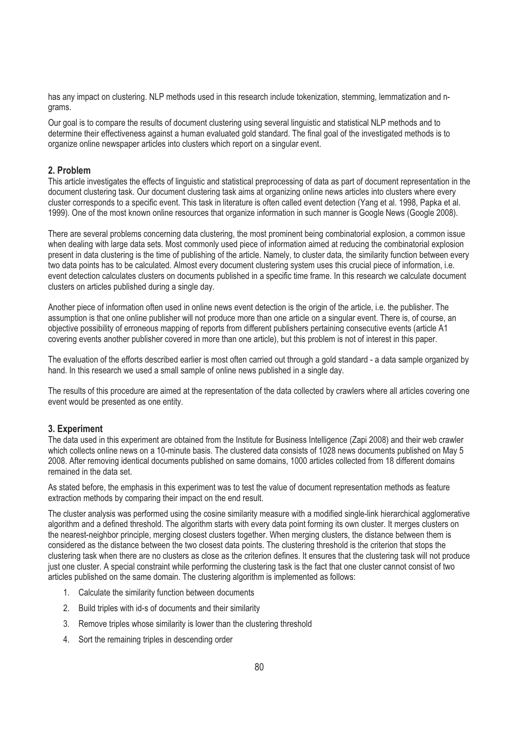has any impact on clustering. NLP methods used in this research include tokenization, stemming, lemmatization and ngrams.

Our goal is to compare the results of document clustering using several linguistic and statistical NLP methods and to determine their effectiveness against a human evaluated gold standard. The final goal of the investigated methods is to organize online newspaper articles into clusters which report on a singular event.

# **2. Problem**

This article investigates the effects of linguistic and statistical preprocessing of data as part of document representation in the document clustering task. Our document clustering task aims at organizing online news articles into clusters where every cluster corresponds to a specific event. This task in literature is often called event detection (Yang et al. 1998, Papka et al. 1999). One of the most known online resources that organize information in such manner is Google News (Google 2008).

There are several problems concerning data clustering, the most prominent being combinatorial explosion, a common issue when dealing with large data sets. Most commonly used piece of information aimed at reducing the combinatorial explosion present in data clustering is the time of publishing of the article. Namely, to cluster data, the similarity function between every two data points has to be calculated. Almost every document clustering system uses this crucial piece of information, i.e. event detection calculates clusters on documents published in a specific time frame. In this research we calculate document clusters on articles published during a single day.

Another piece of information often used in online news event detection is the origin of the article, i.e. the publisher. The assumption is that one online publisher will not produce more than one article on a singular event. There is, of course, an objective possibility of erroneous mapping of reports from different publishers pertaining consecutive events (article A1 covering events another publisher covered in more than one article), but this problem is not of interest in this paper.

The evaluation of the efforts described earlier is most often carried out through a gold standard - a data sample organized by hand. In this research we used a small sample of online news published in a single day.

The results of this procedure are aimed at the representation of the data collected by crawlers where all articles covering one event would be presented as one entity.

## **3. Experiment**

The data used in this experiment are obtained from the Institute for Business Intelligence (Zapi 2008) and their web crawler which collects online news on a 10-minute basis. The clustered data consists of 1028 news documents published on May 5 2008. After removing identical documents published on same domains, 1000 articles collected from 18 different domains remained in the data set.

As stated before, the emphasis in this experiment was to test the value of document representation methods as feature extraction methods by comparing their impact on the end result.

The cluster analysis was performed using the cosine similarity measure with a modified single-link hierarchical agglomerative algorithm and a defined threshold. The algorithm starts with every data point forming its own cluster. It merges clusters on the nearest-neighbor principle, merging closest clusters together. When merging clusters, the distance between them is considered as the distance between the two closest data points. The clustering threshold is the criterion that stops the clustering task when there are no clusters as close as the criterion defines. It ensures that the clustering task will not produce just one cluster. A special constraint while performing the clustering task is the fact that one cluster cannot consist of two articles published on the same domain. The clustering algorithm is implemented as follows:

- 1. Calculate the similarity function between documents
- 2. Build triples with id-s of documents and their similarity
- 3. Remove triples whose similarity is lower than the clustering threshold
- 4. Sort the remaining triples in descending order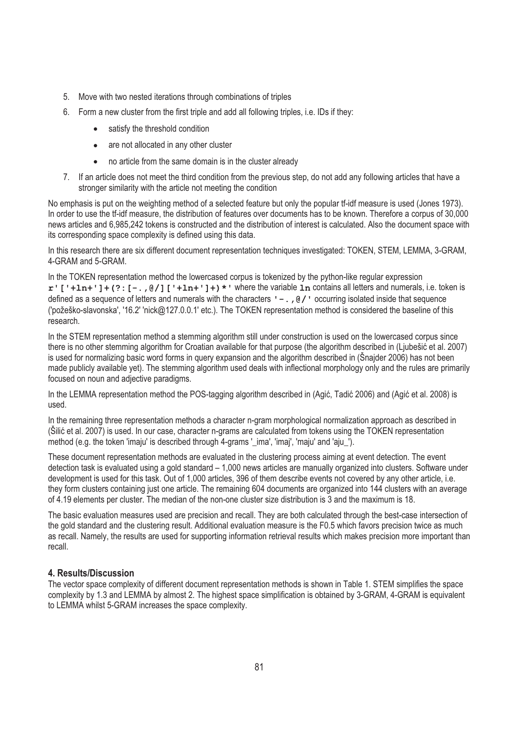- 5. Move with two nested iterations through combinations of triples
- 6. Form a new cluster from the first triple and add all following triples, i.e. IDs if they:
	- $\bullet$ satisfy the threshold condition
	- $\bullet$ are not allocated in any other cluster
	- $\bullet$ no article from the same domain is in the cluster already
- 7. If an article does not meet the third condition from the previous step, do not add any following articles that have a stronger similarity with the article not meeting the condition

No emphasis is put on the weighting method of a selected feature but only the popular tf-idf measure is used (Jones 1973). In order to use the tf-idf measure, the distribution of features over documents has to be known. Therefore a corpus of 30,000 news articles and 6,985,242 tokens is constructed and the distribution of interest is calculated. Also the document space with its corresponding space complexity is defined using this data.

In this research there are six different document representation techniques investigated: TOKEN, STEM, LEMMA, 3-GRAM, 4-GRAM and 5-GRAM.

In the TOKEN representation method the lowercased corpus is tokenized by the python-like regular expression **r'['+ln+']+(?:[-.,@/]['+ln+']+)\*'** where the variable **ln** contains all letters and numerals, i.e. token is defined as a sequence of letters and numerals with the characters  $\cdot -$ ., @/ $\cdot$  occurring isolated inside that sequence ('požeško-slavonska', '16.2' 'nick@127.0.0.1' etc.). The TOKEN representation method is considered the baseline of this research.

In the STEM representation method a stemming algorithm still under construction is used on the lowercased corpus since there is no other stemming algorithm for Croatian available for that purpose (the algorithm described in (Ljubešić et al. 2007) is used for normalizing basic word forms in query expansion and the algorithm described in (Šnajder 2006) has not been made publicly available yet). The stemming algorithm used deals with inflectional morphology only and the rules are primarily focused on noun and adjective paradigms.

In the LEMMA representation method the POS-tagging algorithm described in (Agić, Tadić 2006) and (Agić et al. 2008) is used.

In the remaining three representation methods a character n-gram morphological normalization approach as described in (Silić et al. 2007) is used. In our case, character n-grams are calculated from tokens using the TOKEN representation method (e.g. the token 'imaju' is described through 4-grams '\_ima', 'imaj', 'maju' and 'aju\_').

These document representation methods are evaluated in the clustering process aiming at event detection. The event detection task is evaluated using a gold standard – 1,000 news articles are manually organized into clusters. Software under development is used for this task. Out of 1,000 articles, 396 of them describe events not covered by any other article, i.e. they form clusters containing just one article. The remaining 604 documents are organized into 144 clusters with an average of 4.19 elements per cluster. The median of the non-one cluster size distribution is 3 and the maximum is 18.

The basic evaluation measures used are precision and recall. They are both calculated through the best-case intersection of the gold standard and the clustering result. Additional evaluation measure is the F0.5 which favors precision twice as much as recall. Namely, the results are used for supporting information retrieval results which makes precision more important than recall.

## **4. Results/Discussion**

The vector space complexity of different document representation methods is shown in Table 1. STEM simplifies the space complexity by 1.3 and LEMMA by almost 2. The highest space simplification is obtained by 3-GRAM, 4-GRAM is equivalent to LEMMA whilst 5-GRAM increases the space complexity.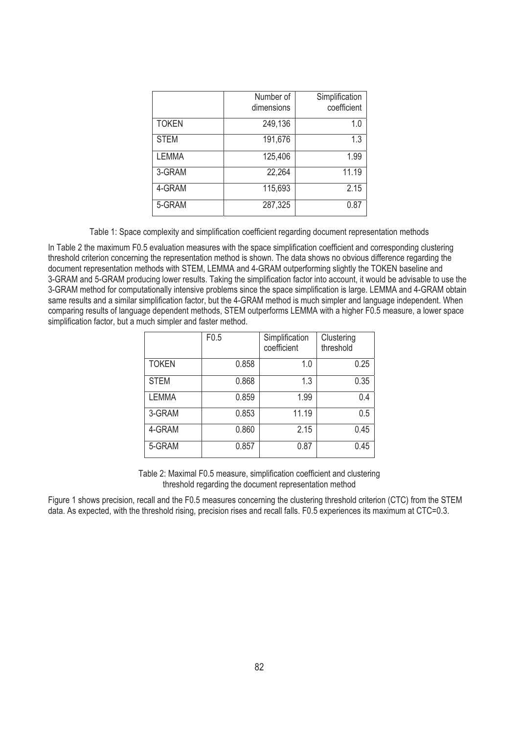|              | Number of<br>dimensions | Simplification<br>coefficient |
|--------------|-------------------------|-------------------------------|
| <b>TOKEN</b> | 249,136                 | 1.0                           |
| <b>STEM</b>  | 191,676                 | 1.3                           |
| <b>LEMMA</b> | 125,406                 | 1.99                          |
| 3-GRAM       | 22,264                  | 11.19                         |
| 4-GRAM       | 115,693                 | 2.15                          |
| 5-GRAM       | 287,325                 | 0.87                          |

Table 1: Space complexity and simplification coefficient regarding document representation methods

In Table 2 the maximum F0.5 evaluation measures with the space simplification coefficient and corresponding clustering threshold criterion concerning the representation method is shown. The data shows no obvious difference regarding the document representation methods with STEM, LEMMA and 4-GRAM outperforming slightly the TOKEN baseline and 3-GRAM and 5-GRAM producing lower results. Taking the simplification factor into account, it would be advisable to use the 3-GRAM method for computationally intensive problems since the space simplification is large. LEMMA and 4-GRAM obtain same results and a similar simplification factor, but the 4-GRAM method is much simpler and language independent. When comparing results of language dependent methods, STEM outperforms LEMMA with a higher F0.5 measure, a lower space simplification factor, but a much simpler and faster method.

|              | F0.5  | Simplification<br>coefficient | Clustering<br>threshold |
|--------------|-------|-------------------------------|-------------------------|
| <b>TOKEN</b> | 0.858 | 1.0                           | 0.25                    |
| <b>STEM</b>  | 0.868 | 1.3                           | 0.35                    |
| <b>LEMMA</b> | 0.859 | 1.99                          | 0.4                     |
| 3-GRAM       | 0.853 | 11.19                         | 0.5                     |
| 4-GRAM       | 0.860 | 2.15                          | 0.45                    |
| 5-GRAM       | 0.857 | 0.87                          | 0.45                    |

Table 2: Maximal F0.5 measure, simplification coefficient and clustering threshold regarding the document representation method

Figure 1 shows precision, recall and the F0.5 measures concerning the clustering threshold criterion (CTC) from the STEM data. As expected, with the threshold rising, precision rises and recall falls. F0.5 experiences its maximum at CTC=0.3.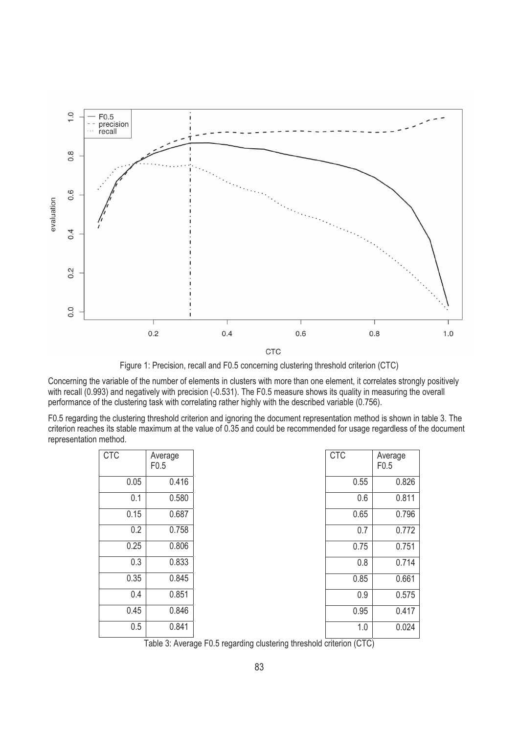

Figure 1: Precision, recall and F0.5 concerning clustering threshold criterion (CTC)

Concerning the variable of the number of elements in clusters with more than one element, it correlates strongly positively with recall (0.993) and negatively with precision (-0.531). The F0.5 measure shows its quality in measuring the overall performance of the clustering task with correlating rather highly with the described variable (0.756).

F0.5 regarding the clustering threshold criterion and ignoring the document representation method is shown in table 3. The criterion reaches its stable maximum at the value of 0.35 and could be recommended for usage regardless of the document representation method.

| <b>CTC</b> | Average<br>F0.5 | <b>CTC</b> | Average<br>F0.5 |
|------------|-----------------|------------|-----------------|
| 0.05       | 0.416           | 0.55       | 0.826           |
| 0.1        | 0.580           | 0.6        | 0.811           |
| 0.15       | 0.687           | 0.65       | 0.796           |
| 0.2        | 0.758           | 0.7        | 0.772           |
| 0.25       | 0.806           | 0.75       | 0.751           |
| 0.3        | 0.833           | 0.8        | 0.714           |
| 0.35       | 0.845           | 0.85       | 0.661           |
| 0.4        | 0.851           | 0.9        | 0.575           |
| 0.45       | 0.846           | 0.95       | 0.417           |
| 0.5        | 0.841           | 1.0        | 0.024           |

Table 3: Average F0.5 regarding clustering threshold criterion (CTC)